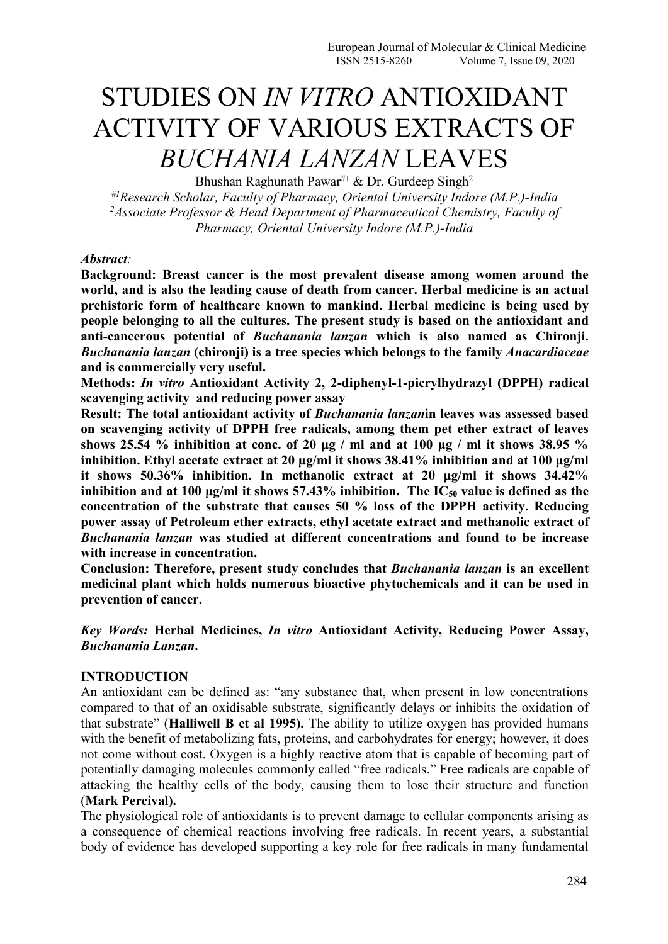# STUDIES ON *IN VITRO* ANTIOXIDANT ACTIVITY OF VARIOUS EXTRACTS OF *BUCHANIA LANZAN* LEAVES 2

Bhushan Raghunath Pawar<sup>#1</sup> & Dr. Gurdeep Singh<sup>2</sup>

*#1Research Scholar, Faculty of Pharmacy, Oriental University Indore (M.P.)-India <sup>2</sup>Associate Professor & Head Department of Pharmaceutical Chemistry, Faculty of Pharmacy, Oriental University Indore (M.P.)-India*

#### *Abstract:*

**Background: Breast cancer is the most prevalent disease among women around the world, and is also the leading cause of death from cancer.Herbal medicine is an actual prehistoric form of healthcare known to mankind. Herbal medicine is being used by people belonging to all the cultures. The present study is based on the antioxidant and anti-cancerous potential of** *Buchanania lanzan* **which is also named as Chironji.** *Buchanania lanzan* **(chironji) is a tree species which belongs to the family** *Anacardiaceae* **and is commercially very useful.**

**Methods:** *In vitro* **Antioxidant Activity 2, 2-diphenyl-1-picrylhydrazyl (DPPH) radical scavenging activity and reducing power assay**

**Result: The total antioxidant activity of** *Buchanania lanzan***in leaves was assessed based on scavenging activity of DPPH free radicals, among them pet ether extract of leaves shows 25.54 % inhibition at conc. of 20 μg / ml and at 100 μg / ml itshows 38.95 % inhibition. Ethyl acetate extract at 20 μg/ml it shows 38.41% inhibition and at 100 μg/ml it shows 50.36% inhibition. In methanolic extract at 20 μg/ml it shows 34.42% inhibition and at 100 μg/ml it shows 57.43% inhibition. The IC<sup>50</sup> value is defined as the concentration of the substrate thatcauses 50 % loss of the DPPH activity. Reducing power assay of Petroleum ether extracts, ethyl acetate extract and methanolic extract of** *Buchanania lanzan* **was studied at different concentrations and found to be increase with increase in concentration.**

**Conclusion: Therefore, present study concludes that** *Buchanania lanzan* **is an excellent medicinal plant which holds numerous bioactive phytochemicals and it can be used in prevention of cancer.**

*Key Words:* **Herbal Medicines,** *In vitro* **Antioxidant Activity, Reducing Power Assay,** *Buchanania Lanzan***.**

# **INTRODUCTION**

An antioxidant can be defined as: "any substance that, when present in low concentrations compared to that of an oxidisable substrate, significantly delays or inhibits the oxidation of that substrate" (**Halliwell B et al 1995).** The ability to utilize oxygen has provided humans with the benefit of metabolizing fats, proteins, and carbohydrates for energy; however, it does not come without cost. Oxygen is a highly reactive atom that is capable of becoming part of potentially damaging molecules commonly called "free radicals." Free radicals are capable of attacking the healthy cells of the body, causing them to lose their structure and function (**Mark Percival).**

The physiological role of antioxidants is to prevent damage to cellular components arising as a consequence of chemical reactions involving free radicals. In recent years, a substantial body of evidence has developed supporting a key role for free radicals in many fundamental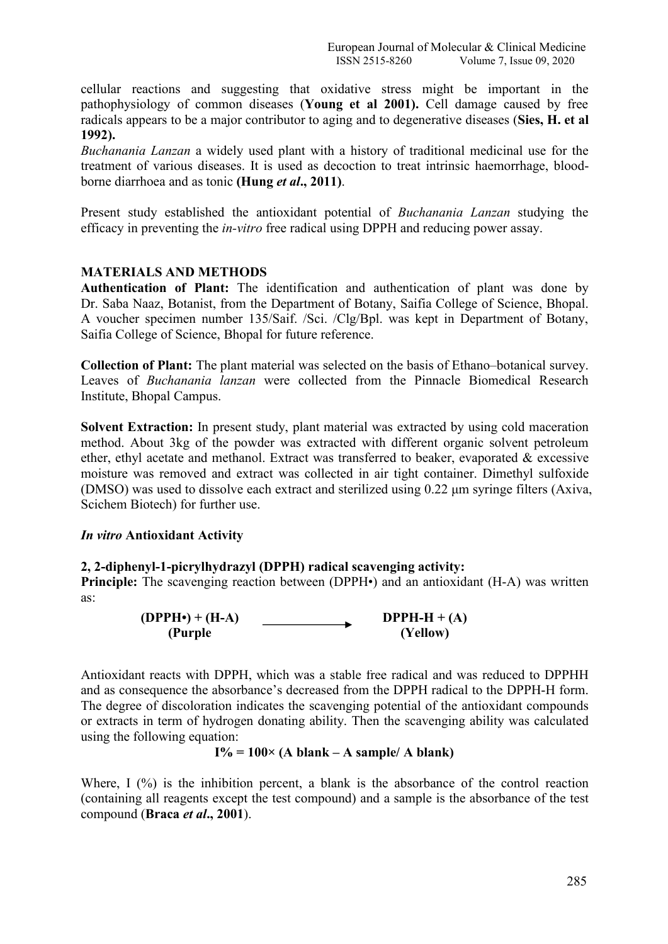cellular reactions and suggesting that oxidative stress might be important in the pathophysiology of common diseases (**Young et al 2001).** Cell damage caused by free radicals appears to be a major contributor to aging and to degenerative diseases (**Sies, H. et al 1992).**

*Buchanania Lanzan* a widely used plant with a history of traditional medicinal use for the treatment of various diseases. It is used as decoction to treat intrinsic haemorrhage, blood borne diarrhoea and as tonic **(Hung** *et al***., 2011)**.

Present study established the antioxidant potential of *Buchanania Lanzan* studying the efficacy in preventing the *in-vitro* free radical using DPPH and reducing power assay.

# **MATERIALS AND METHODS**

**Authentication of Plant:** The identification and authentication of plant was done by Dr. Saba Naaz, Botanist, from the Department of Botany, Saifia College of Science, Bhopal. A voucher specimen number 135/Saif. /Sci. /Clg/Bpl. was keptin Department of Botany, Saifia College of Science, Bhopal for future reference.

**Collection of Plant:** The plant material was selected on the basis of Ethano–botanical survey. Leaves of *Buchanania lanzan* were collected from the Pinnacle Biomedical Research Institute, Bhopal Campus.

**Solvent Extraction:** In present study, plant material was extracted by using cold maceration method. About 3kg of the powder was extracted with different organic solvent petroleum ether, ethyl acetate and methanol. Extract was transferred to beaker, evaporated & excessive moisture was removed and extract was collected in air tight container. Dimethyl sulfoxide (DMSO) was used to dissolve each extract and sterilized using 0.22 μm syringe filters (Axiva, Scichem Biotech) for further use.

# *In vitro* **Antioxidant Activity**

# **2, 2-diphenyl-1-picrylhydrazyl (DPPH) radical scavenging activity:**

**Principle:** The scavenging reaction between (DPPH $\cdot$ ) and an antioxidant (H-A) was written as:

> **DPPH-H**  $+$  **(A) (Yellow)**  $(DPPH•) + (H-A)$ **(Purple**

Antioxidant reacts with DPPH, which was a stable free radical and was reduced to DPPHH and as consequence the absorbance's decreased from the DPPH radical to the DPPH-H form. The degree of discoloration indicates the scavenging potential of the antioxidant compounds or extracts in term of hydrogen donating ability. Then the scavenging ability was calculated using the following equation:

 $I% = 100 \times (A)$  **blank** – **A** sample/ **A blank**)

Where, I  $(\%)$  is the inhibition percent, a blank is the absorbance of the control reaction (containing all reagents except the test compound) and a sample is the absorbance of the test compound (**Braca** *et al***., 2001**).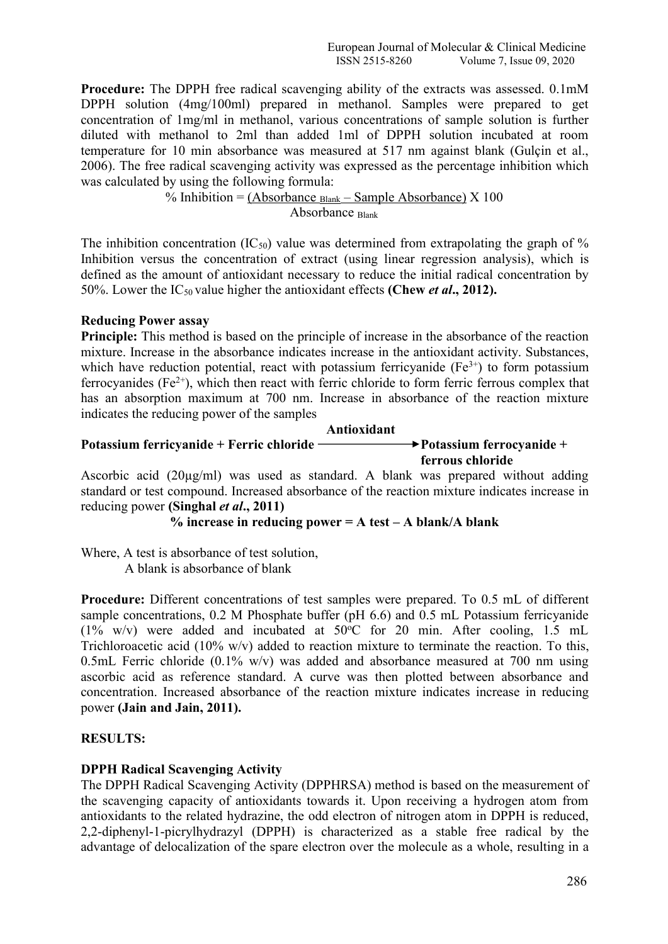**Procedure:** The DPPH free radical scavenging ability of the extracts was assessed. 0.1mM DPPH solution (4mg/100ml) prepared in methanol. Samples were prepared to get concentration of 1mg/ml in methanol, various concentrations of sample solution is further diluted with methanol to 2ml than added 1ml of DPPH solution incubated at room temperature for 10 min absorbance was measured at 517 nm against blank (Gulçin et al., 2006). The free radical scavenging activity was expressed as the percentage inhibition which was calculated by using the following formula:

> % Inhibition = (Absorbance  $_{\text{Blank}}$  – Sample Absorbance) X 100 Absorbance Blank

The inhibition concentration  $(IC_{50})$  value was determined from extrapolating the graph of % Inhibition versus the concentration of extract (using linear regression analysis), which is defined as the amount of antioxidant necessary to reduce the initial radical concentration by 50%. Lower the IC<sup>50</sup> value higher the antioxidant effects **(Chew** *et al***., 2012).**

# **Reducing Power assay**

**Principle:** This method is based on the principle of increase in the absorbance of the reaction mixture. Increase in the absorbance indicates increase in the antioxidant activity. Substances, which have reduction potential, react with potassium ferricyanide  $(Fe^{3+})$  to form potassium ferrocyanides (Fe<sup>2+</sup>), which then react with ferric chloride to form ferric ferrous complex that has an absorption maximum at 700 nm. Increase in absorbance of the reaction mixture indicates the reducing power of the samples.

# **Potassium** ferricyanide + Ferric chloride  $\rightarrow$  **Potassium** ferrocyanide + **ferrous chloride Antioxidant**

Ascorbic acid  $(20\mu g/ml)$  was used as standard. A blank was prepared without adding standard or test compound. Increased absorbance of the reaction mixture indicates increase in reducing power **(Singhal** *et al***., 2011)**

```
% increase in reducing power = A test – A blank/A blank
```
Where, A test is absorbance of test solution, A blank is absorbance of blank

**Procedure:** Different concentrations of test samples were prepared. To 0.5 mL of different sample concentrations, 0.2 M Phosphate buffer (pH 6.6) and 0.5 mL Potassium ferricyanide

(1% w/v) were added and incubated at  $50^{\circ}$ C for 20 min. After cooling, 1.5 mL Trichloroacetic acid (10% w/v) added to reaction mixture to terminate the reaction. To this, 0.5mL Ferric chloride (0.1% w/v) was added and absorbance measured at 700 nm using ascorbic acid as reference standard. A curve was then plotted between absorbance and concentration. Increased absorbance of the reaction mixture indicates increase in reducing power **(Jain and Jain, 2011).**

# **RESULTS:**

# **DPPH Radical Scavenging Activity**

The DPPH Radical Scavenging Activity (DPPHRSA) method is based on the measurement of the scavenging capacity of antioxidants towards it. Upon receiving a hydrogen atom from antioxidants to the related hydrazine, the odd electron of nitrogen atom in DPPH is reduced, 2,2-diphenyl-1-picrylhydrazyl (DPPH) is characterized as a stable free radical by the advantage of delocalization of the spare electron over the molecule as a whole, resulting in a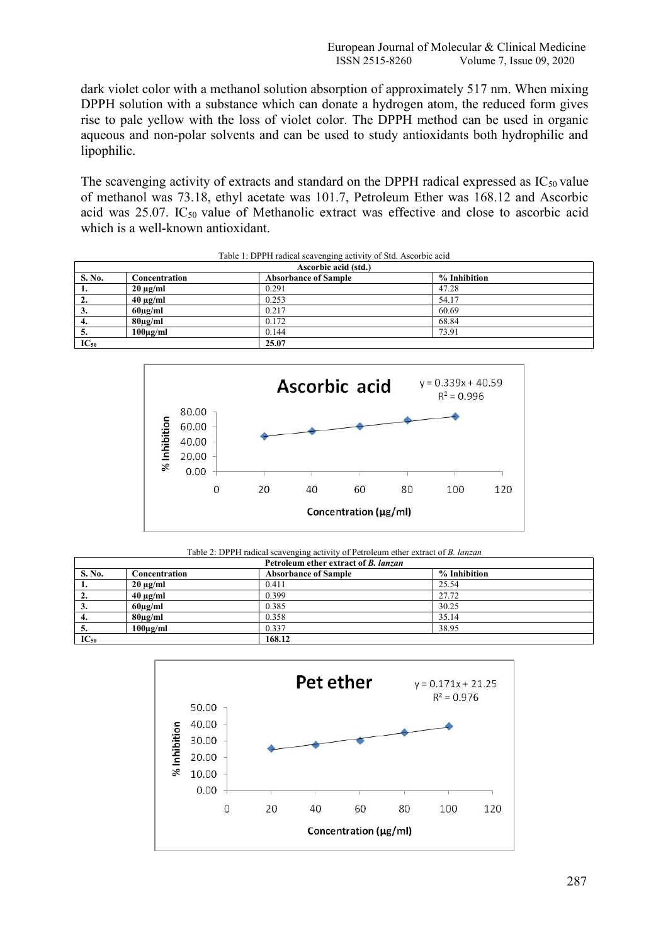dark violet color with a methanol solution absorption of approximately 517 nm. When mixing DPPH solution with a substance which can donate a hydrogen atom, the reduced form gives rise to pale yellow with the loss of violet color. The DPPH method can be used in organic aqueous and non-polar solvents and can be used to study antioxidants both hydrophilic and lipophilic.

The scavenging activity of extracts and standard on the DPPH radical expressed as  $IC_{50}$  value of methanol was 73.18, ethyl acetate was 101.7, Petroleum Ether was 168.12 and Ascorbic acid was  $25.07$ . IC<sub>50</sub> value of Methanolic extract was effective and close to ascorbic acid which is a well-known antioxidant.

|           |               | Ascorbic acid (std.)        |              |
|-----------|---------------|-----------------------------|--------------|
| S. No.    | Concentration | <b>Absorbance of Sample</b> | % Inhibition |
| -1.       | $20 \mu g/ml$ | 0.291                       | 47.28        |
| 2.        | $40 \mu g/ml$ | 0.253                       | 54.17        |
| 3.        | $60\mu g/ml$  | 0.217                       | 60.69        |
| 4.        | $80\mu g/ml$  | 0.172                       | 68.84        |
| -5.       | $100\mu g/ml$ | 0.144                       | 73.91        |
| $IC_{50}$ |               | 25.07                       |              |

Table 1: DPPH radical scavenging activity of Std. Ascorbic acid



Table 2: DPPH radical scavenging activity of Petroleum ether extract of *B. lanzan*

|           |               | Petroleum ether extract of <i>B. lanzan</i> |              |  |
|-----------|---------------|---------------------------------------------|--------------|--|
| S. No.    | Concentration | <b>Absorbance of Sample</b>                 | % Inhibition |  |
|           | $20 \mu g/ml$ | 0.411                                       | 25.54        |  |
| ٠.        | $40 \mu g/ml$ | 0.399                                       | 27.72        |  |
| Ĵ.        | $60\mu g/ml$  | 0.385                                       | 30.25        |  |
| 4.        | $80\mu g/ml$  | 0.358                                       | 35.14        |  |
| C.        | $100\mu g/ml$ | 0.337                                       | 38.95        |  |
| $IC_{50}$ |               | 168.12                                      |              |  |

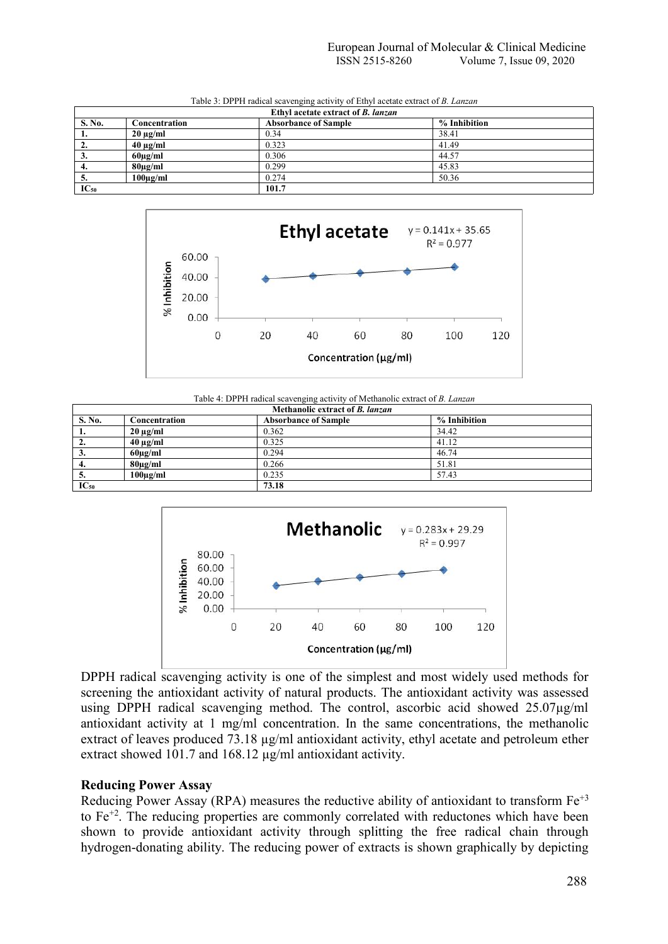|           |               | Ethyl acetate extract of <i>B. lanzan</i> |              |
|-----------|---------------|-------------------------------------------|--------------|
| S. No.    | Concentration | <b>Absorbance of Sample</b>               | % Inhibition |
|           | $20 \mu g/ml$ | 0.34                                      | 38.41        |
| ٠.        | $40 \mu g/ml$ | 0.323                                     | 41.49        |
| J.        | $60\mu g/ml$  | 0.306                                     | 44.57        |
| .,        | $80\mu g/ml$  | 0.299                                     | 45.83        |
| ◡         | $100\mu g/ml$ | 0.274                                     | 50.36        |
| $IC_{50}$ |               | 101.7                                     |              |

Table 3: DPPH radical scavenging activity of Ethyl acetate extract of *B. Lanzan*



Table 4: DPPH radical scavenging activity of Methanolic extract of *B. Lanzan*

|              |               | Methanolic extract of <i>B. lanzan</i> |              |  |
|--------------|---------------|----------------------------------------|--------------|--|
| S. No.       | Concentration | <b>Absorbance of Sample</b>            | % Inhibition |  |
| 1.           | $20 \mu g/ml$ | 0.362                                  | 34.42        |  |
| 2.           | $40 \mu g/ml$ | 0.325                                  | 41.12        |  |
| 3.           | $60\mu$ g/ml  | 0.294                                  | 46.74        |  |
| 4.           | $80\mu$ g/ml  | 0.266                                  | 51.81        |  |
| $\mathbf{D}$ | $100\mu g/ml$ | 0.235                                  | 57.43        |  |
| $IC_{50}$    |               | 73.18                                  |              |  |



DPPH radical scavenging activity is one of the simplest and most widely used methods for screening the antioxidant activity of natural products. The antioxidant activity was assessed using DPPH radical scavenging method. The control, ascorbic acid showed 25.07µg/ml antioxidant activity at 1 mg/ml concentration. In the same concentrations, the methanolic extract of leaves produced 73.18 µg/ml antioxidant activity, ethyl acetate and petroleum ether extract showed 101.7 and 168.12  $\mu$ g/ml antioxidant activity.

# **Reducing Power Assay**

Reducing Power Assay (RPA) measures the reductive ability of antioxidant to transform  $Fe^{+3}$ to Fe<sup>+2</sup>. The reducing properties are commonly correlated with reductones which have been shown to provide antioxidant activity through splitting the free radical chain through hydrogen-donating ability. The reducing power of extracts is shown graphically by depicting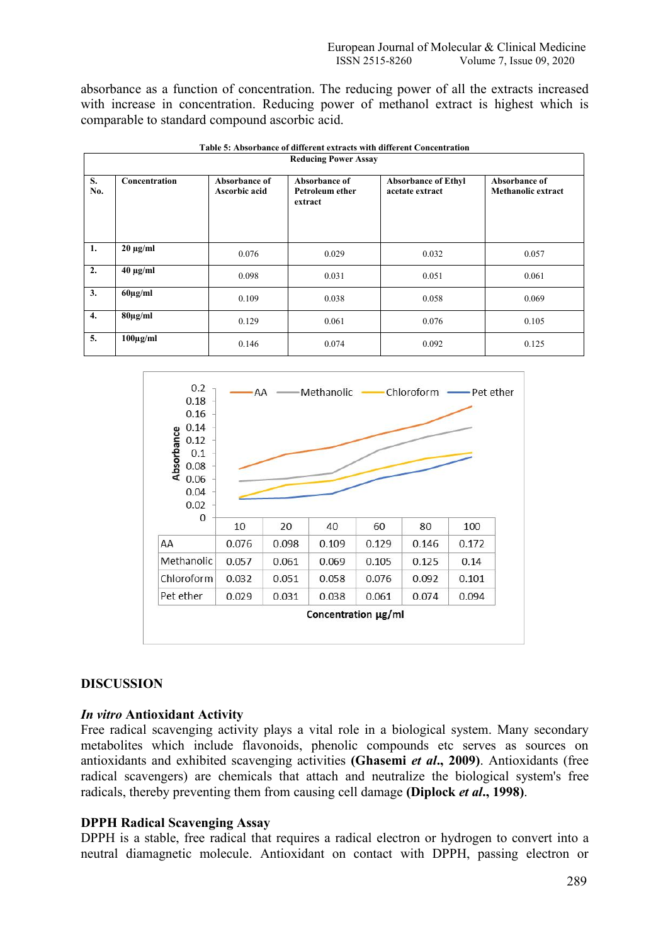absorbance as a function of concentration. The reducing power of all the extracts increased with increase in concentration. Reducing power of methanol extract is highest which is comparable to standard compound ascorbic acid.

|                  |               |                                | <b>Reducing Power Assay</b>                 |                                               |                                            |
|------------------|---------------|--------------------------------|---------------------------------------------|-----------------------------------------------|--------------------------------------------|
| S.<br>No.        | Concentration | Absorbance of<br>Ascorbic acid | Absorbance of<br>Petroleum ether<br>extract | <b>Absorbance of Ethyl</b><br>acetate extract | Absorbance of<br><b>Methanolic extract</b> |
| 1.               | $20 \mu g/ml$ | 0.076                          | 0.029                                       | 0.032                                         | 0.057                                      |
| 2.               | $40 \mu g/ml$ | 0.098                          | 0.031                                       | 0.051                                         | 0.061                                      |
| 3.               | $60\mu g/ml$  | 0.109                          | 0.038                                       | 0.058                                         | 0.069                                      |
| $\overline{4}$ . | $80\mu g/ml$  | 0.129                          | 0.061                                       | 0.076                                         | 0.105                                      |
| 5.               | $100\mu g/ml$ | 0.146                          | 0.074                                       | 0.092                                         | 0.125                                      |

|--|

#### $0.2$ Methanolic - Chloroform -- Pet ether  $\Lambda \Lambda =$ 0.18 0.16  $0.14$ Absorbance  $0.12$  $0.1$ 0.08 0.06 0.04 0.02  $\Omega$  $10$ 20 40 60 80 100 AA 0.076 0.098 0.109 0.129 0.146 0.172 **Methanolic** 0.057 0.061 0.069 0.105 0.125  $0.14$ Chloroform 0.032 0.051 0.076 0.058 0.092 0.101 Pet ether 0.029 0.031 0.038 0.061 0.074 0.094 Concentration µg/ml

# **DISCUSSION**

# *In vitro* **Antioxidant Activity**

Free radical scavenging activity plays a vital role in a biological system. Many secondary metabolites which include flavonoids, phenolic compounds etc serves as sources on antioxidants and exhibited scavenging activities **(Ghasemi** *et al***., 2009)**. Antioxidants (free radical scavengers) are chemicals that attach and neutralize the biological system's free radicals, thereby preventing them from causing cell damage **(Diplock** *et al***., 1998)**.

# **DPPH Radical Scavenging Assay**

DPPH is a stable, free radical that requires a radical electron or hydrogen to convert into a neutral diamagnetic molecule. Antioxidant on contact with DPPH, passing electron or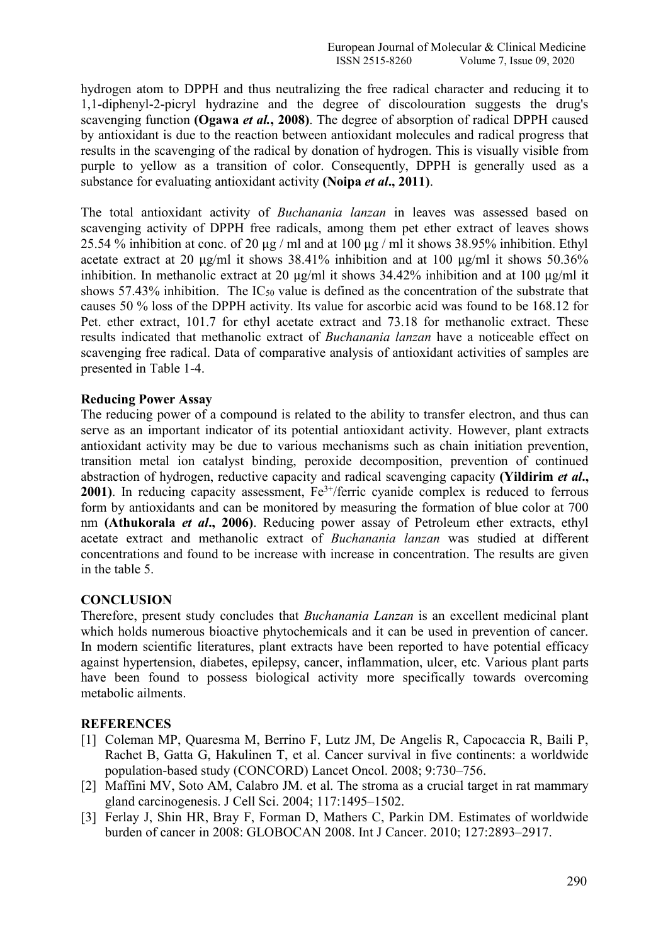hydrogen atom to DPPH and thus neutralizing the free radical character and reducing it to 1,1-diphenyl-2-picryl hydrazine and the degree of discolouration suggests the drug's scavenging function **(Ogawa** *et al.***, 2008)**. The degree of absorption of radical DPPH caused by antioxidant is due to the reaction between antioxidant molecules and radical progress that results in the scavenging of the radical by donation of hydrogen. This is visually visible from purple to yellow as a transition of color. Consequently, DPPH is generally used as a substance for evaluating antioxidant activity **(Noipa** *et al***., 2011)**.

The total antioxidant activity of *Buchanania lanzan* in leaves was assessed based on scavenging activity of DPPH free radicals, among them pet ether extract of leaves shows 25.54 % inhibition at conc. of 20  $\mu$ g / ml and at 100  $\mu$ g / ml it shows 38.95% inhibition. Ethyl acetate extract at 20 μg/ml it shows 38.41% inhibition and at 100 μg/ml it shows 50.36% inhibition. In methanolic extract at 20 μg/ml it shows 34.42% inhibition and at 100 μg/ml it shows 57.43% inhibition. The  $IC_{50}$  value is defined as the concentration of the substrate that causes 50 % loss of the DPPH activity. Its value for ascorbic acid was found to be 168.12 for Pet. ether extract, 101.7 for ethyl acetate extract and 73.18 for methanolic extract. These results indicated that methanolic extract of *Buchanania lanzan* have a noticeable effect on scavenging free radical. Data of comparative analysis of antioxidant activities of samples are presented in Table 1-4.

# **Reducing Power Assay**

The reducing power of a compound is related to the ability to transfer electron, and thus can serve as an important indicator of its potential antioxidant activity. However, plant extracts antioxidant activity may be due to various mechanisms such as chain initiation prevention, transition metal ion catalyst binding, peroxide decomposition, prevention of continued abstraction of hydrogen, reductive capacity and radical scavenging capacity **(Yildirim** *et al***., 2001**). In reducing capacity assessment, Fe<sup>3+</sup>/ferric cyanide complex is reduced to ferrous form by antioxidants and can be monitored by measuring the formation of blue color at 700 nm **(Athukorala** *et al***., 2006)**. Reducing power assay of Petroleum ether extracts, ethyl acetate extract and methanolic extract of *Buchanania lanzan* was studied at different concentrations and found to be increase with increase in concentration. The results are given in the table 5.

# **CONCLUSION**

Therefore, present study concludes that *Buchanania Lanzan* is an excellent medicinal plant which holds numerous bioactive phytochemicals and it can be used in prevention of cancer. In modern scientific literatures, plant extracts have been reported to have potential efficacy against hypertension, diabetes, epilepsy, cancer, inflammation, ulcer, etc. Various plant parts have been found to possess biological activity more specifically towards overcoming metabolic ailments.

#### **REFERENCES**

- [1] Coleman MP, Quaresma M, Berrino F, Lutz JM, De Angelis R, Capocaccia R, Baili P, Rachet B, Gatta G, Hakulinen T, et al. Cancer survival in five continents: a worldwide population-based study (CONCORD) Lancet Oncol. 2008; 9:730–756.
- [2] Maffini MV, Soto AM, Calabro JM. et al. The stroma as a crucial target in rat mammary gland carcinogenesis. J Cell Sci. 2004; 117:1495–1502.
- [3] Ferlay J, Shin HR, Bray F, Forman D, Mathers C, Parkin DM. Estimates of worldwide burden of cancer in 2008: GLOBOCAN 2008. Int J Cancer. 2010; 127:2893–2917.